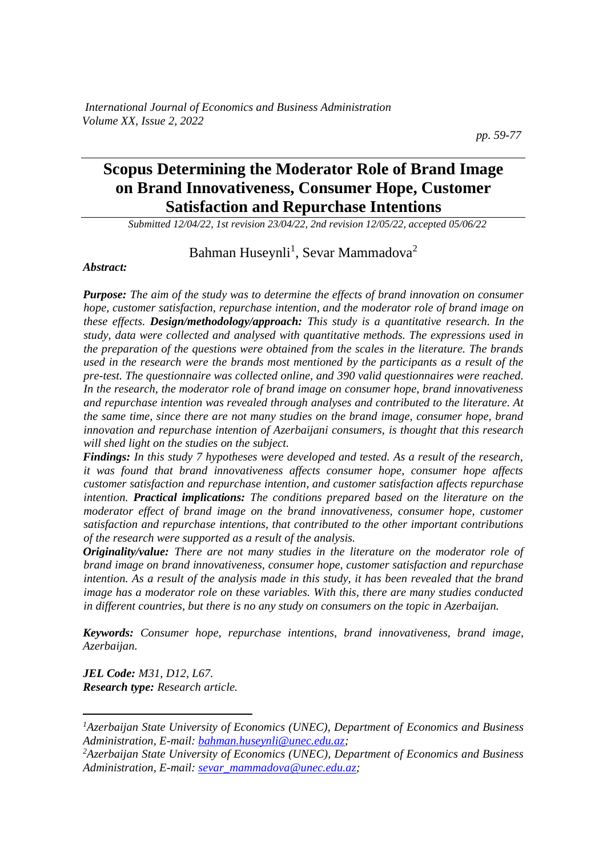# **Scopus Determining the Moderator Role of Brand Image on Brand Innovativeness, Consumer Hope, Customer Satisfaction and Repurchase Intentions**

*Submitted 12/04/22, 1st revision 23/04/22, 2nd revision 12/05/22, accepted 05/06/22*

Bahman Huseynli<sup>1</sup>, Sevar Mammadova<sup>2</sup>

#### *Abstract:*

*Purpose: The aim of the study was to determine the effects of brand innovation on consumer hope, customer satisfaction, repurchase intention, and the moderator role of brand image on these effects. Design/methodology/approach: This study is a quantitative research. In the study, data were collected and analysed with quantitative methods. The expressions used in the preparation of the questions were obtained from the scales in the literature. The brands used in the research were the brands most mentioned by the participants as a result of the pre-test. The questionnaire was collected online, and 390 valid questionnaires were reached. In the research, the moderator role of brand image on consumer hope, brand innovativeness and repurchase intention was revealed through analyses and contributed to the literature. At the same time, since there are not many studies on the brand image, consumer hope, brand innovation and repurchase intention of Azerbaijani consumers, is thought that this research will shed light on the studies on the subject.*

*Findings: In this study 7 hypotheses were developed and tested. As a result of the research, it was found that brand innovativeness affects consumer hope, consumer hope affects customer satisfaction and repurchase intention, and customer satisfaction affects repurchase intention. Practical implications: The conditions prepared based on the literature on the moderator effect of brand image on the brand innovativeness, consumer hope, customer satisfaction and repurchase intentions, that contributed to the other important contributions of the research were supported as a result of the analysis.* 

*Originality/value: There are not many studies in the literature on the moderator role of brand image on brand innovativeness, consumer hope, customer satisfaction and repurchase intention. As a result of the analysis made in this study, it has been revealed that the brand image has a moderator role on these variables. With this, there are many studies conducted in different countries, but there is no any study on consumers on the topic in Azerbaijan.*

*Keywords: Consumer hope, repurchase intentions, brand innovativeness, brand image, Azerbaijan.*

*JEL Code: M31, D12, L67. Research type: Research article.*

*<sup>1</sup>Azerbaijan State University of Economics (UNEC), Department of Economics and Business Administration, E-mail[: bahman.huseynli@unec.edu.az;](mailto:bahman.huseynli@unec.edu.az)*

*<sup>2</sup>Azerbaijan State University of Economics (UNEC), Department of Economics and Business Administration, E-mail[: sevar\\_mammadova@unec.edu.az;](mailto:sevar_mammadova@unec.edu.az)*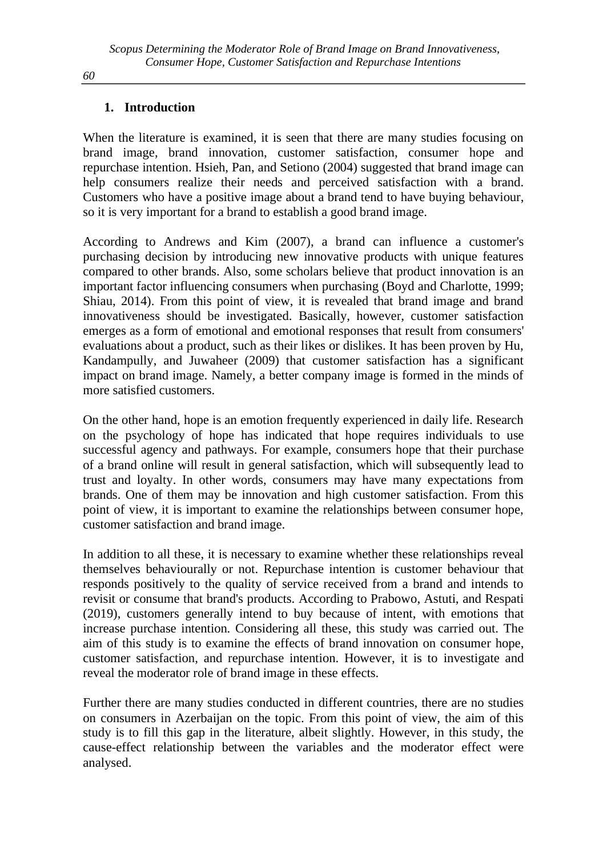# **1. Introduction**

When the literature is examined, it is seen that there are many studies focusing on brand image, brand innovation, customer satisfaction, consumer hope and repurchase intention. Hsieh, Pan, and Setiono (2004) suggested that brand image can help consumers realize their needs and perceived satisfaction with a brand. Customers who have a positive image about a brand tend to have buying behaviour, so it is very important for a brand to establish a good brand image.

According to Andrews and Kim (2007), a brand can influence a customer's purchasing decision by introducing new innovative products with unique features compared to other brands. Also, some scholars believe that product innovation is an important factor influencing consumers when purchasing (Boyd and Charlotte, 1999; Shiau, 2014). From this point of view, it is revealed that brand image and brand innovativeness should be investigated. Basically, however, customer satisfaction emerges as a form of emotional and emotional responses that result from consumers' evaluations about a product, such as their likes or dislikes. It has been proven by Hu, Kandampully, and Juwaheer (2009) that customer satisfaction has a significant impact on brand image. Namely, a better company image is formed in the minds of more satisfied customers.

On the other hand, hope is an emotion frequently experienced in daily life. Research on the psychology of hope has indicated that hope requires individuals to use successful agency and pathways. For example, consumers hope that their purchase of a brand online will result in general satisfaction, which will subsequently lead to trust and loyalty. In other words, consumers may have many expectations from brands. One of them may be innovation and high customer satisfaction. From this point of view, it is important to examine the relationships between consumer hope, customer satisfaction and brand image.

In addition to all these, it is necessary to examine whether these relationships reveal themselves behaviourally or not. Repurchase intention is customer behaviour that responds positively to the quality of service received from a brand and intends to revisit or consume that brand's products. According to Prabowo, Astuti, and Respati (2019), customers generally intend to buy because of intent, with emotions that increase purchase intention. Considering all these, this study was carried out. The aim of this study is to examine the effects of brand innovation on consumer hope, customer satisfaction, and repurchase intention. However, it is to investigate and reveal the moderator role of brand image in these effects.

Further there are many studies conducted in different countries, there are no studies on consumers in Azerbaijan on the topic. From this point of view, the aim of this study is to fill this gap in the literature, albeit slightly. However, in this study, the cause-effect relationship between the variables and the moderator effect were analysed.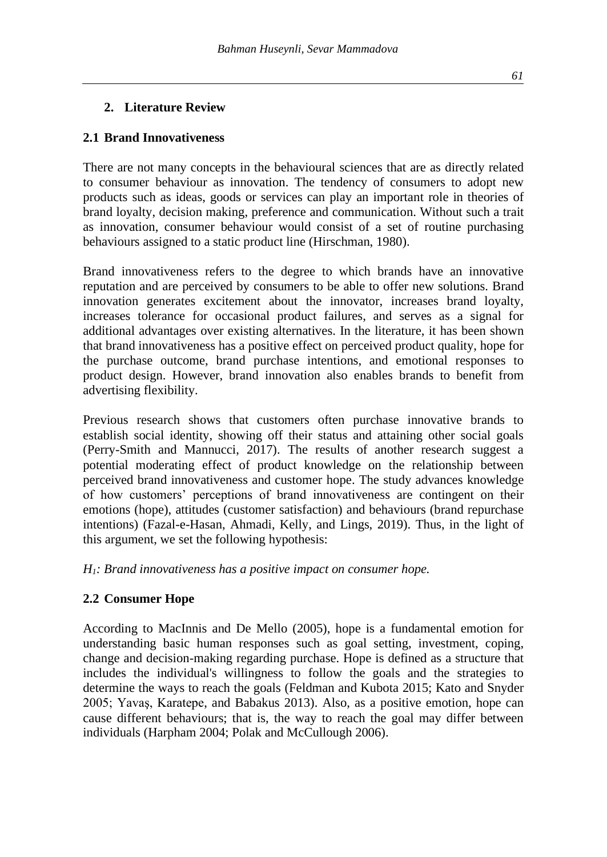# **2. Literature Review**

# **2.1 Brand Innovativeness**

There are not many concepts in the behavioural sciences that are as directly related to consumer behaviour as innovation. The tendency of consumers to adopt new products such as ideas, goods or services can play an important role in theories of brand loyalty, decision making, preference and communication. Without such a trait as innovation, consumer behaviour would consist of a set of routine purchasing behaviours assigned to a static product line (Hirschman, 1980).

Brand innovativeness refers to the degree to which brands have an innovative reputation and are perceived by consumers to be able to offer new solutions. Brand innovation generates excitement about the innovator, increases brand loyalty, increases tolerance for occasional product failures, and serves as a signal for additional advantages over existing alternatives. In the literature, it has been shown that brand innovativeness has a positive effect on perceived product quality, hope for the purchase outcome, brand purchase intentions, and emotional responses to product design. However, brand innovation also enables brands to benefit from advertising flexibility.

Previous research shows that customers often purchase innovative brands to establish social identity, showing off their status and attaining other social goals (Perry-Smith and Mannucci, 2017). The results of another research suggest a potential moderating effect of product knowledge on the relationship between perceived brand innovativeness and customer hope. The study advances knowledge of how customers' perceptions of brand innovativeness are contingent on their emotions (hope), attitudes (customer satisfaction) and behaviours (brand repurchase intentions) (Fazal-e-Hasan, Ahmadi, Kelly, and Lings, 2019). Thus, in the light of this argument, we set the following hypothesis:

*H1: Brand innovativeness has a positive impact on consumer hope.*

# **2.2 Consumer Hope**

According to MacInnis and De Mello (2005), hope is a fundamental emotion for understanding basic human responses such as goal setting, investment, coping, change and decision-making regarding purchase. Hope is defined as a structure that includes the individual's willingness to follow the goals and the strategies to determine the ways to reach the goals (Feldman and Kubota 2015; Kato and Snyder 2005; Yavaş, Karatepe, and Babakus 2013). Also, as a positive emotion, hope can cause different behaviours; that is, the way to reach the goal may differ between individuals (Harpham 2004; Polak and McCullough 2006).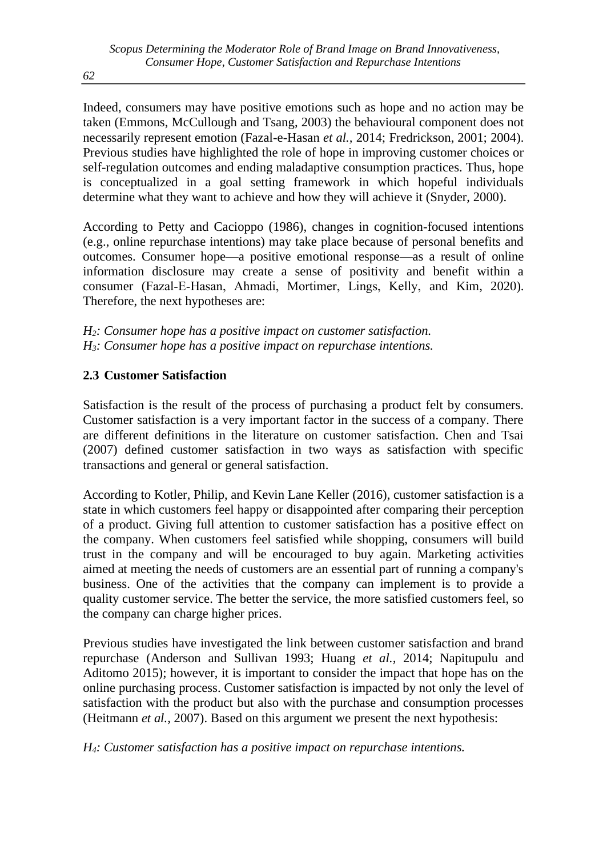Indeed, consumers may have positive emotions such as hope and no action may be taken (Emmons, McCullough and Tsang, 2003) the behavioural component does not necessarily represent emotion (Fazal-e-Hasan *et al.,* 2014; Fredrickson, 2001; 2004). Previous studies have highlighted the role of hope in improving customer choices or self-regulation outcomes and ending maladaptive consumption practices. Thus, hope is conceptualized in a goal setting framework in which hopeful individuals determine what they want to achieve and how they will achieve it (Snyder, 2000).

According to Petty and Cacioppo (1986), changes in cognition-focused intentions (e.g., online repurchase intentions) may take place because of personal benefits and outcomes. Consumer hope—a positive emotional response—as a result of online information disclosure may create a sense of positivity and benefit within a consumer (Fazal‐E‐Hasan, Ahmadi, Mortimer, Lings, Kelly, and Kim, 2020). Therefore, the next hypotheses are:

*H2: Consumer hope has a positive impact on customer satisfaction. H3: Consumer hope has a positive impact on repurchase intentions.*

# **2.3 Customer Satisfaction**

Satisfaction is the result of the process of purchasing a product felt by consumers. Customer satisfaction is a very important factor in the success of a company. There are different definitions in the literature on customer satisfaction. Chen and Tsai (2007) defined customer satisfaction in two ways as satisfaction with specific transactions and general or general satisfaction.

According to Kotler, Philip, and Kevin Lane Keller (2016), customer satisfaction is a state in which customers feel happy or disappointed after comparing their perception of a product. Giving full attention to customer satisfaction has a positive effect on the company. When customers feel satisfied while shopping, consumers will build trust in the company and will be encouraged to buy again. Marketing activities aimed at meeting the needs of customers are an essential part of running a company's business. One of the activities that the company can implement is to provide a quality customer service. The better the service, the more satisfied customers feel, so the company can charge higher prices.

Previous studies have investigated the link between customer satisfaction and brand repurchase (Anderson and Sullivan 1993; Huang *et al.,* 2014; Napitupulu and Aditomo 2015); however, it is important to consider the impact that hope has on the online purchasing process. Customer satisfaction is impacted by not only the level of satisfaction with the product but also with the purchase and consumption processes (Heitmann *et al.,* 2007). Based on this argument we present the next hypothesis:

*H4: Customer satisfaction has a positive impact on repurchase intentions.*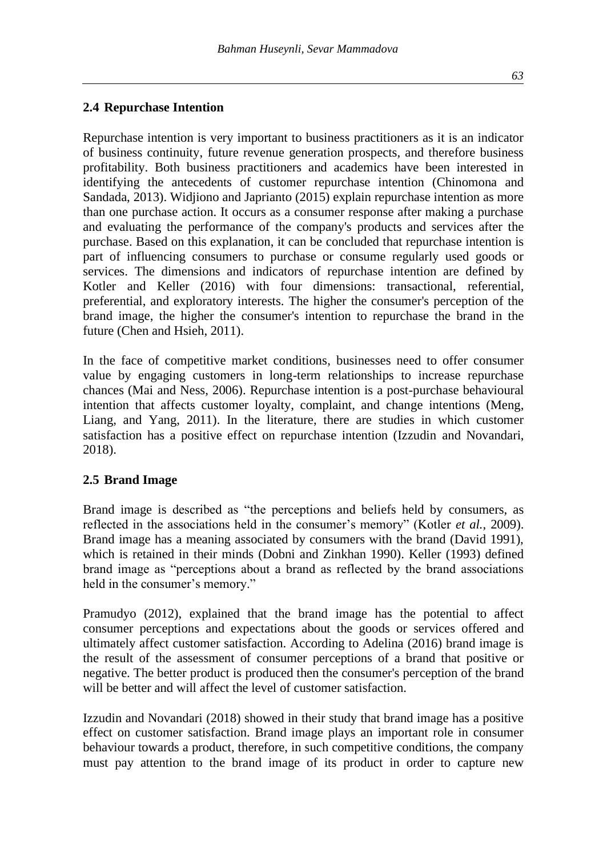# **2.4 Repurchase Intention**

Repurchase intention is very important to business practitioners as it is an indicator of business continuity, future revenue generation prospects, and therefore business profitability. Both business practitioners and academics have been interested in identifying the antecedents of customer repurchase intention (Chinomona and Sandada, 2013). Widjiono and Japrianto (2015) explain repurchase intention as more than one purchase action. It occurs as a consumer response after making a purchase and evaluating the performance of the company's products and services after the purchase. Based on this explanation, it can be concluded that repurchase intention is part of influencing consumers to purchase or consume regularly used goods or services. The dimensions and indicators of repurchase intention are defined by Kotler and Keller (2016) with four dimensions: transactional, referential, preferential, and exploratory interests. The higher the consumer's perception of the brand image, the higher the consumer's intention to repurchase the brand in the future (Chen and Hsieh, 2011).

In the face of competitive market conditions, businesses need to offer consumer value by engaging customers in long-term relationships to increase repurchase chances (Mai and Ness, 2006). Repurchase intention is a post-purchase behavioural intention that affects customer loyalty, complaint, and change intentions (Meng, Liang, and Yang, 2011). In the literature, there are studies in which customer satisfaction has a positive effect on repurchase intention (Izzudin and Novandari, 2018).

# **2.5 Brand Image**

Brand image is described as "the perceptions and beliefs held by consumers, as reflected in the associations held in the consumer's memory" (Kotler *et al.,* 2009). Brand image has a meaning associated by consumers with the brand (David 1991), which is retained in their minds (Dobni and Zinkhan 1990). Keller (1993) defined brand image as "perceptions about a brand as reflected by the brand associations held in the consumer's memory."

Pramudyo (2012), explained that the brand image has the potential to affect consumer perceptions and expectations about the goods or services offered and ultimately affect customer satisfaction. According to Adelina (2016) brand image is the result of the assessment of consumer perceptions of a brand that positive or negative. The better product is produced then the consumer's perception of the brand will be better and will affect the level of customer satisfaction.

Izzudin and Novandari (2018) showed in their study that brand image has a positive effect on customer satisfaction. Brand image plays an important role in consumer behaviour towards a product, therefore, in such competitive conditions, the company must pay attention to the brand image of its product in order to capture new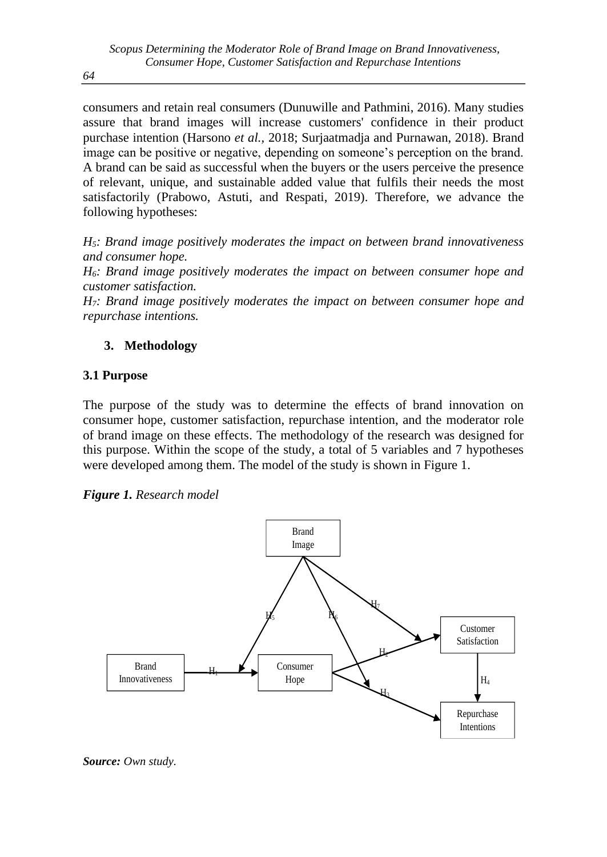consumers and retain real consumers (Dunuwille and Pathmini, 2016). Many studies assure that brand images will increase customers' confidence in their product purchase intention (Harsono *et al.,* 2018; Surjaatmadja and Purnawan, 2018). Brand image can be positive or negative, depending on someone's perception on the brand. A brand can be said as successful when the buyers or the users perceive the presence of relevant, unique, and sustainable added value that fulfils their needs the most satisfactorily (Prabowo, Astuti, and Respati, 2019). Therefore, we advance the following hypotheses:

*H5: Brand image positively moderates the impact on between brand innovativeness and consumer hope.*

*H6: Brand image positively moderates the impact on between consumer hope and customer satisfaction.*

*H7: Brand image positively moderates the impact on between consumer hope and repurchase intentions.*

# **3. Methodology**

# **3.1 Purpose**

The purpose of the study was to determine the effects of brand innovation on consumer hope, customer satisfaction, repurchase intention, and the moderator role of brand image on these effects. The methodology of the research was designed for this purpose. Within the scope of the study, a total of 5 variables and 7 hypotheses were developed among them. The model of the study is shown in Figure 1.

*Figure 1. Research model*



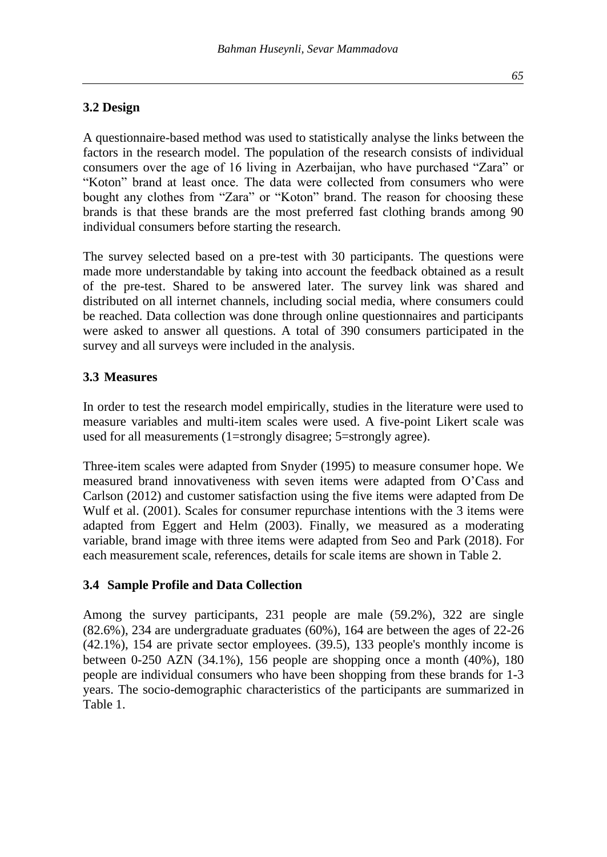# **3.2 Design**

A questionnaire-based method was used to statistically analyse the links between the factors in the research model. The population of the research consists of individual consumers over the age of 16 living in Azerbaijan, who have purchased "Zara" or "Koton" brand at least once. The data were collected from consumers who were bought any clothes from "Zara" or "Koton" brand. The reason for choosing these brands is that these brands are the most preferred fast clothing brands among 90 individual consumers before starting the research.

The survey selected based on a pre-test with 30 participants. The questions were made more understandable by taking into account the feedback obtained as a result of the pre-test. Shared to be answered later. The survey link was shared and distributed on all internet channels, including social media, where consumers could be reached. Data collection was done through online questionnaires and participants were asked to answer all questions. A total of 390 consumers participated in the survey and all surveys were included in the analysis.

#### **3.3 Measures**

In order to test the research model empirically, studies in the literature were used to measure variables and multi-item scales were used. A five-point Likert scale was used for all measurements (1=strongly disagree; 5=strongly agree).

Three-item scales were adapted from Snyder (1995) to measure consumer hope. We measured brand innovativeness with seven items were adapted from O'Cass and Carlson (2012) and customer satisfaction using the five items were adapted from De Wulf et al. (2001). Scales for consumer repurchase intentions with the 3 items were adapted from Eggert and Helm (2003). Finally, we measured as a moderating variable, brand image with three items were adapted from Seo and Park (2018). For each measurement scale, references, details for scale items are shown in Table 2.

# **3.4 Sample Profile and Data Collection**

Among the survey participants, 231 people are male (59.2%), 322 are single (82.6%), 234 are undergraduate graduates (60%), 164 are between the ages of 22-26 (42.1%), 154 are private sector employees. (39.5), 133 people's monthly income is between 0-250 AZN (34.1%), 156 people are shopping once a month (40%), 180 people are individual consumers who have been shopping from these brands for 1-3 years. The socio-demographic characteristics of the participants are summarized in Table 1.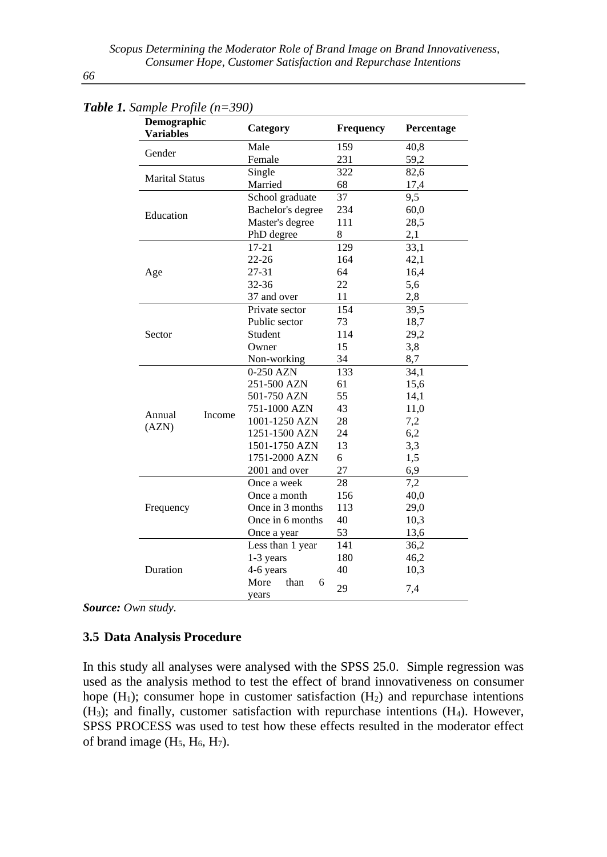| $\cdot$ $\sim$ $\cdot$ $\cdot$ $\sim$<br>Demographic<br><b>Variables</b> |        | Category                   | Frequency | Percentage |  |
|--------------------------------------------------------------------------|--------|----------------------------|-----------|------------|--|
|                                                                          |        | Male                       | 159       | 40,8       |  |
| Gender                                                                   |        | Female                     | 231       | 59,2       |  |
|                                                                          |        | Single                     | 322       | 82,6       |  |
| <b>Marital Status</b>                                                    |        | Married                    | 68        | 17,4       |  |
|                                                                          |        | School graduate            | 37        | 9,5        |  |
| Education                                                                |        | Bachelor's degree          | 234       | 60,0       |  |
|                                                                          |        | Master's degree            | 111       | 28,5       |  |
|                                                                          |        | PhD degree                 | 8         | 2,1        |  |
|                                                                          |        | 17-21                      | 129       | 33,1       |  |
|                                                                          |        | $22 - 26$                  | 164       | 42,1       |  |
| Age                                                                      |        | 27-31                      | 64        | 16,4       |  |
|                                                                          |        | $32 - 36$                  | 22        | 5,6        |  |
|                                                                          |        | 37 and over                | 11        | 2,8        |  |
|                                                                          |        | Private sector             | 154       | 39.5       |  |
|                                                                          |        | Public sector              | 73        | 18,7       |  |
| Sector                                                                   |        | Student                    | 114       | 29,2       |  |
|                                                                          |        | Owner                      | 15        | 3,8        |  |
|                                                                          |        | Non-working                | 34        | 8,7        |  |
|                                                                          |        | 0-250 AZN                  | 133       | 34,1       |  |
|                                                                          |        | 251-500 AZN                | 61        | 15,6       |  |
|                                                                          |        | 501-750 AZN                | 55        | 14,1       |  |
| Annual                                                                   | Income | 751-1000 AZN               | 43        | 11,0       |  |
| (AZN)                                                                    |        | 1001-1250 AZN              | 28        | 7,2        |  |
|                                                                          |        | 1251-1500 AZN              | 24        | 6,2        |  |
|                                                                          |        | 1501-1750 AZN              | 13        | 3,3        |  |
|                                                                          |        | 1751-2000 AZN              | 6         | 1,5        |  |
|                                                                          |        | 2001 and over              | 27        | 6,9        |  |
|                                                                          |        | Once a week                | 28        | 7,2        |  |
|                                                                          |        | Once a month               | 156       | 40,0       |  |
| Frequency                                                                |        | Once in 3 months           | 113       | 29,0       |  |
|                                                                          |        | Once in 6 months           | 40        | 10,3       |  |
|                                                                          |        | Once a year                | 53        | 13,6       |  |
|                                                                          |        | Less than 1 year           | 141       | 36,2       |  |
|                                                                          |        | 1-3 years                  | 180       | 46,2       |  |
| Duration                                                                 |        | 4-6 years                  | 40        | 10,3       |  |
|                                                                          |        | More<br>than<br>6<br>vears | 29        | 7,4        |  |

*Table 1. Sample Profile (n=390)*

*Source: Own study.*

#### **3.5 Data Analysis Procedure**

In this study all analyses were analysed with the SPSS 25.0. Simple regression was used as the analysis method to test the effect of brand innovativeness on consumer hope  $(H<sub>1</sub>)$ ; consumer hope in customer satisfaction  $(H<sub>2</sub>)$  and repurchase intentions (H3); and finally, customer satisfaction with repurchase intentions (H4). However, SPSS PROCESS was used to test how these effects resulted in the moderator effect of brand image  $(H_5, H_6, H_7)$ .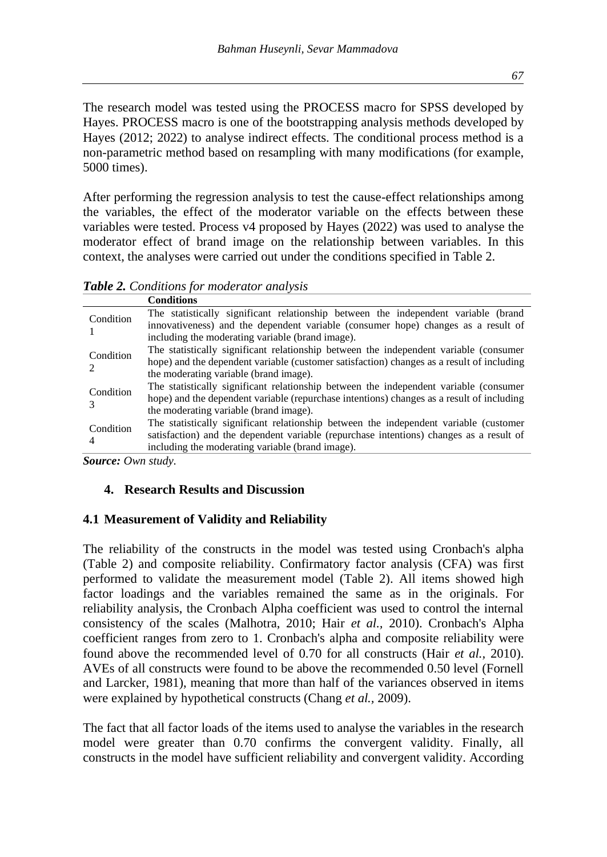The research model was tested using the PROCESS macro for SPSS developed by Hayes. PROCESS macro is one of the bootstrapping analysis methods developed by Hayes (2012; 2022) to analyse indirect effects. The conditional process method is a non-parametric method based on resampling with many modifications (for example, 5000 times).

After performing the regression analysis to test the cause-effect relationships among the variables, the effect of the moderator variable on the effects between these variables were tested. Process v4 proposed by Hayes (2022) was used to analyse the moderator effect of brand image on the relationship between variables. In this context, the analyses were carried out under the conditions specified in Table 2.

*Table 2. Conditions for moderator analysis*

|           | <b>Conditions</b>                                                                         |
|-----------|-------------------------------------------------------------------------------------------|
| Condition | The statistically significant relationship between the independent variable (brand        |
|           | innovativeness) and the dependent variable (consumer hope) changes as a result of         |
|           | including the moderating variable (brand image).                                          |
| Condition | The statistically significant relationship between the independent variable (consumer     |
|           | hope) and the dependent variable (customer satisfaction) changes as a result of including |
|           | the moderating variable (brand image).                                                    |
| Condition | The statistically significant relationship between the independent variable (consumer     |
|           | hope) and the dependent variable (repurchase intentions) changes as a result of including |
|           | the moderating variable (brand image).                                                    |
| Condition | The statistically significant relationship between the independent variable (customer     |
|           | satisfaction) and the dependent variable (repurchase intentions) changes as a result of   |
| 4         | including the moderating variable (brand image).                                          |

*Source: Own study.*

# **4. Research Results and Discussion**

# **4.1 Measurement of Validity and Reliability**

The reliability of the constructs in the model was tested using Cronbach's alpha (Table 2) and composite reliability. Confirmatory factor analysis (CFA) was first performed to validate the measurement model (Table 2). All items showed high factor loadings and the variables remained the same as in the originals. For reliability analysis, the Cronbach Alpha coefficient was used to control the internal consistency of the scales (Malhotra, 2010; Hair *et al.,* 2010). Cronbach's Alpha coefficient ranges from zero to 1. Cronbach's alpha and composite reliability were found above the recommended level of 0.70 for all constructs (Hair *et al.,* 2010). AVEs of all constructs were found to be above the recommended 0.50 level (Fornell and Larcker, 1981), meaning that more than half of the variances observed in items were explained by hypothetical constructs (Chang *et al.,* 2009).

The fact that all factor loads of the items used to analyse the variables in the research model were greater than 0.70 confirms the convergent validity. Finally, all constructs in the model have sufficient reliability and convergent validity. According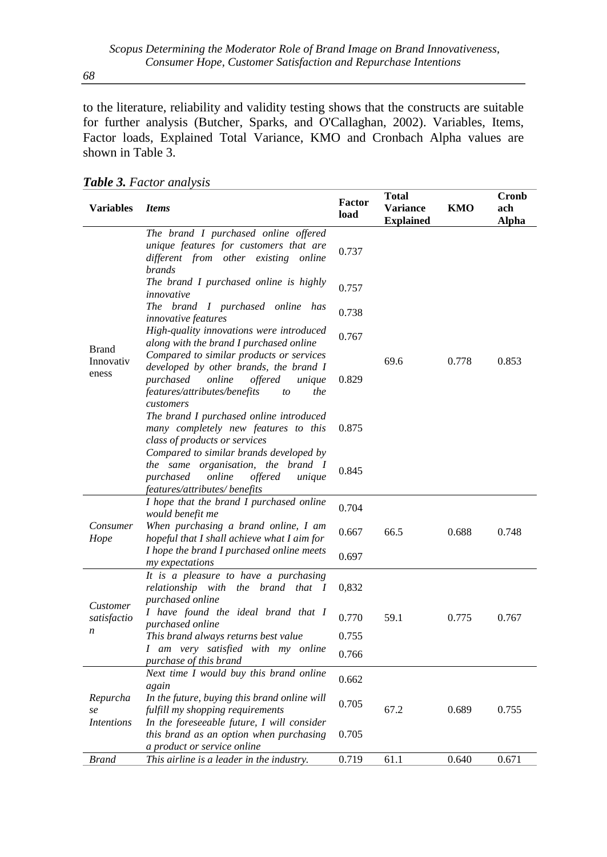to the literature, reliability and validity testing shows that the constructs are suitable for further analysis (Butcher, Sparks, and O'Callaghan, 2002). Variables, Items, Factor loads, Explained Total Variance, KMO and Cronbach Alpha values are shown in Table 3.

| <b>Variables</b>        | <i>Items</i>                                                                                                                                                                             | Factor<br>load | <b>Total</b><br><b>Variance</b><br><b>Explained</b> | KMO   | Cronb<br>ach<br>Alpha |
|-------------------------|------------------------------------------------------------------------------------------------------------------------------------------------------------------------------------------|----------------|-----------------------------------------------------|-------|-----------------------|
|                         | The brand I purchased online offered<br>unique features for customers that are<br>different from other existing online<br><i>brands</i>                                                  | 0.737          |                                                     |       |                       |
|                         | The brand I purchased online is highly<br>innovative                                                                                                                                     | 0.757          | 69.6                                                |       |                       |
|                         | The brand I purchased online<br>has<br><i>innovative features</i>                                                                                                                        | 0.738          |                                                     |       |                       |
| <b>Brand</b>            | High-quality innovations were introduced<br>along with the brand I purchased online                                                                                                      | 0.767          |                                                     |       |                       |
| Innovativ<br>eness      | Compared to similar products or services<br>developed by other brands, the brand I<br>purchased<br>online<br>offered<br>unique<br>features/attributes/benefits<br>the<br>to<br>customers | 0.829          |                                                     | 0.778 | 0.853                 |
|                         | The brand I purchased online introduced<br>many completely new features to this<br>class of products or services                                                                         | 0.875          |                                                     |       |                       |
|                         | Compared to similar brands developed by<br>the same organisation, the brand I<br>purchased<br>online<br>offered<br>unique<br>features/attributes/ benefits                               | 0.845          |                                                     |       |                       |
|                         | I hope that the brand I purchased online                                                                                                                                                 | 0.704          |                                                     |       |                       |
| Consumer<br>Hope        | would benefit me<br>When purchasing a brand online, I am<br>hopeful that I shall achieve what I aim for                                                                                  | 0.667          | 66.5                                                | 0.688 | 0.748                 |
|                         | I hope the brand I purchased online meets<br>my expectations                                                                                                                             | 0.697          |                                                     |       |                       |
|                         | It is a pleasure to have a purchasing<br>relationship with the brand that I<br>purchased online                                                                                          | 0,832          |                                                     |       |                       |
| Customer<br>satisfactio | I have found the ideal brand that I<br>purchased online                                                                                                                                  | 0.770          | 59.1                                                | 0.775 | 0.767                 |
| n                       | This brand always returns best value                                                                                                                                                     | 0.755          |                                                     |       |                       |
|                         | I am very satisfied with my online<br>purchase of this brand                                                                                                                             | 0.766          |                                                     |       |                       |
|                         | Next time I would buy this brand online<br>again                                                                                                                                         | 0.662          |                                                     |       |                       |
| Repurcha<br>se          | In the future, buying this brand online will<br>fulfill my shopping requirements                                                                                                         | 0.705          | 67.2                                                | 0.689 | 0.755                 |
| <i>Intentions</i>       | In the foreseeable future, I will consider<br>this brand as an option when purchasing<br>a product or service online                                                                     | 0.705          |                                                     |       |                       |
| <b>Brand</b>            | This airline is a leader in the industry.                                                                                                                                                | 0.719          | 61.1                                                | 0.640 | 0.671                 |

*Table 3. Factor analysis*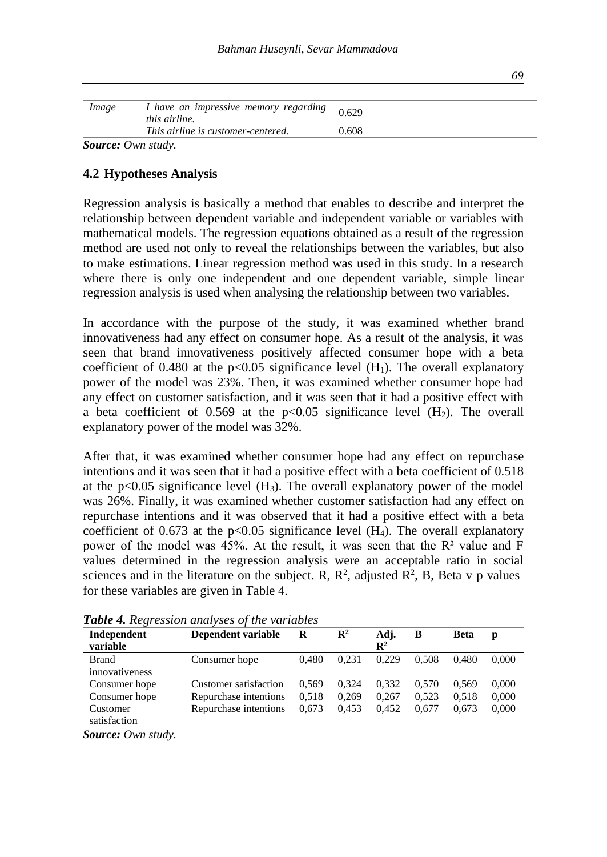| Image                     | I have an impressive memory regarding<br><i>this airline.</i> | 0.629 |  |
|---------------------------|---------------------------------------------------------------|-------|--|
|                           | This airline is customer-centered.                            | 0.608 |  |
| <b>Source:</b> Own study. |                                                               |       |  |

# **4.2 Hypotheses Analysis**

Regression analysis is basically a method that enables to describe and interpret the relationship between dependent variable and independent variable or variables with mathematical models. The regression equations obtained as a result of the regression method are used not only to reveal the relationships between the variables, but also to make estimations. Linear regression method was used in this study. In a research where there is only one independent and one dependent variable, simple linear regression analysis is used when analysing the relationship between two variables.

In accordance with the purpose of the study, it was examined whether brand innovativeness had any effect on consumer hope. As a result of the analysis, it was seen that brand innovativeness positively affected consumer hope with a beta coefficient of 0.480 at the p<0.05 significance level  $(H_1)$ . The overall explanatory power of the model was 23%. Then, it was examined whether consumer hope had any effect on customer satisfaction, and it was seen that it had a positive effect with a beta coefficient of 0.569 at the  $p<0.05$  significance level  $(H_2)$ . The overall explanatory power of the model was 32%.

After that, it was examined whether consumer hope had any effect on repurchase intentions and it was seen that it had a positive effect with a beta coefficient of 0.518 at the  $p<0.05$  significance level  $(H_3)$ . The overall explanatory power of the model was 26%. Finally, it was examined whether customer satisfaction had any effect on repurchase intentions and it was observed that it had a positive effect with a beta coefficient of 0.673 at the  $p<0.05$  significance level (H<sub>4</sub>). The overall explanatory power of the model was 45%. At the result, it was seen that the  $R<sup>2</sup>$  value and F values determined in the regression analysis were an acceptable ratio in social sciences and in the literature on the subject. R,  $R^2$ , adjusted  $R^2$ , B, Beta v p values for these variables are given in Table 4.

| Independent<br>variable  | Dependent variable    | R     | $\mathbf{R}^2$ | Adj.<br>$\mathbf{R}^2$ | B     | <b>Beta</b> | p     |
|--------------------------|-----------------------|-------|----------------|------------------------|-------|-------------|-------|
| Brand<br>innovativeness  | Consumer hope         | 0.480 | 0.231          | 0.229                  | 0.508 | 0.480       | 0.000 |
| Consumer hope            | Customer satisfaction | 0.569 | 0.324          | 0.332                  | 0.570 | 0.569       | 0,000 |
| Consumer hope            | Repurchase intentions | 0.518 | 0,269          | 0.267                  | 0.523 | 0.518       | 0,000 |
| Customer<br>satisfaction | Repurchase intentions | 0.673 | 0.453          | 0.452                  | 0.677 | 0.673       | 0,000 |
| $\sim$ $\sim$<br>$\sim$  |                       |       |                |                        |       |             |       |

*Table 4. Regression analyses of the variables*

*Source: Own study.*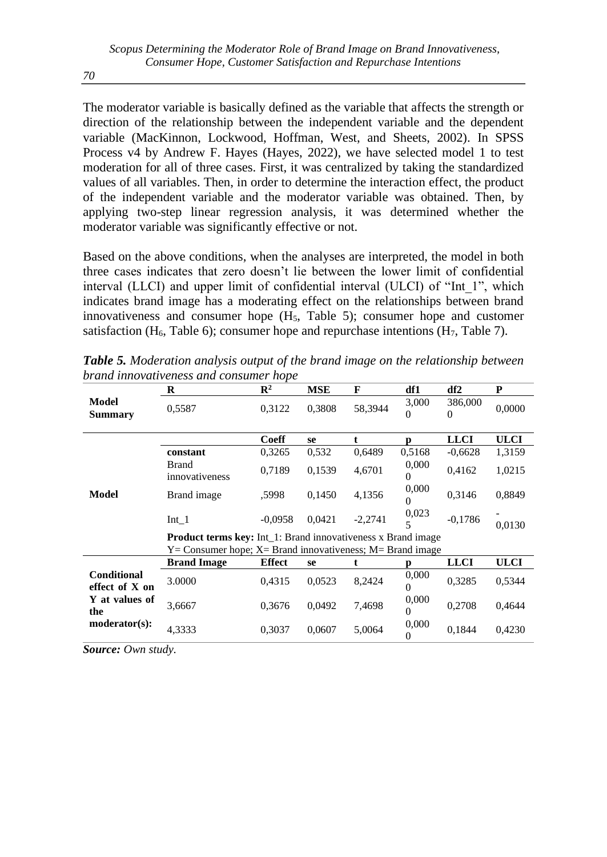The moderator variable is basically defined as the variable that affects the strength or direction of the relationship between the independent variable and the dependent variable (MacKinnon, Lockwood, Hoffman, West, and Sheets, 2002). In SPSS Process v4 by Andrew F. Hayes (Hayes, 2022), we have selected model 1 to test moderation for all of three cases. First, it was centralized by taking the standardized values of all variables. Then, in order to determine the interaction effect, the product of the independent variable and the moderator variable was obtained. Then, by applying two-step linear regression analysis, it was determined whether the moderator variable was significantly effective or not.

Based on the above conditions, when the analyses are interpreted, the model in both three cases indicates that zero doesn't lie between the lower limit of confidential interval (LLCI) and upper limit of confidential interval (ULCI) of "Int\_1", which indicates brand image has a moderating effect on the relationships between brand innovativeness and consumer hope  $(H<sub>5</sub>,$  Table 5); consumer hope and customer satisfaction (H<sub>6</sub>, Table 6); consumer hope and repurchase intentions (H<sub>7</sub>, Table 7).

|                               | R                                                                                                                                         | $\mathbb{R}^2$ | <b>MSE</b> | F            | df1               | df2                 | P           |  |  |  |
|-------------------------------|-------------------------------------------------------------------------------------------------------------------------------------------|----------------|------------|--------------|-------------------|---------------------|-------------|--|--|--|
| Model<br><b>Summary</b>       | 0,5587                                                                                                                                    | 0,3122         | 0,3808     | 58,3944      | 3,000<br>$\Omega$ | 386,000<br>$\Omega$ | 0,0000      |  |  |  |
|                               |                                                                                                                                           | <b>Coeff</b>   | se         | $\mathbf{t}$ | n                 | <b>LLCI</b>         | <b>ULCI</b> |  |  |  |
|                               | constant                                                                                                                                  | 0,3265         | 0,532      | 0,6489       | 0,5168            | $-0,6628$           | 1,3159      |  |  |  |
|                               | <b>Brand</b><br>innovativeness                                                                                                            | 0,7189         | 0,1539     | 4,6701       | 0,000<br>$\Omega$ | 0,4162              | 1,0215      |  |  |  |
| Model                         | Brand image                                                                                                                               | .5998          | 0,1450     | 4,1356       | 0,000             | 0,3146              | 0,8849      |  |  |  |
|                               | $Int_1$                                                                                                                                   | $-0.0958$      | 0.0421     | $-2,2741$    | 0,023<br>5        | $-0,1786$           | 0,0130      |  |  |  |
|                               | <b>Product terms key:</b> Int_1: Brand innovativeness x Brand image<br>$Y =$ Consumer hope; $X =$ Brand innovativeness; $M =$ Brand image |                |            |              |                   |                     |             |  |  |  |
|                               | <b>Brand Image</b>                                                                                                                        | <b>Effect</b>  | se         | t            |                   | <b>LLCI</b>         | ULCI        |  |  |  |
| Conditional<br>effect of X on | 3.0000                                                                                                                                    | 0,4315         | 0,0523     | 8,2424       | 0,000<br>$\Omega$ | 0,3285              | 0,5344      |  |  |  |
| Y at values of<br>the         | 3,6667                                                                                                                                    | 0,3676         | 0,0492     | 7,4698       | 0,000<br>$\Omega$ | 0,2708              | 0,4644      |  |  |  |
| $modern(s)$ :                 | 4,3333                                                                                                                                    | 0,3037         | 0,0607     | 5,0064       | 0,000<br>0        | 0,1844              | 0,4230      |  |  |  |

*Table 5. Moderation analysis output of the brand image on the relationship between brand innovativeness and consumer hope*

*Source: Own study.*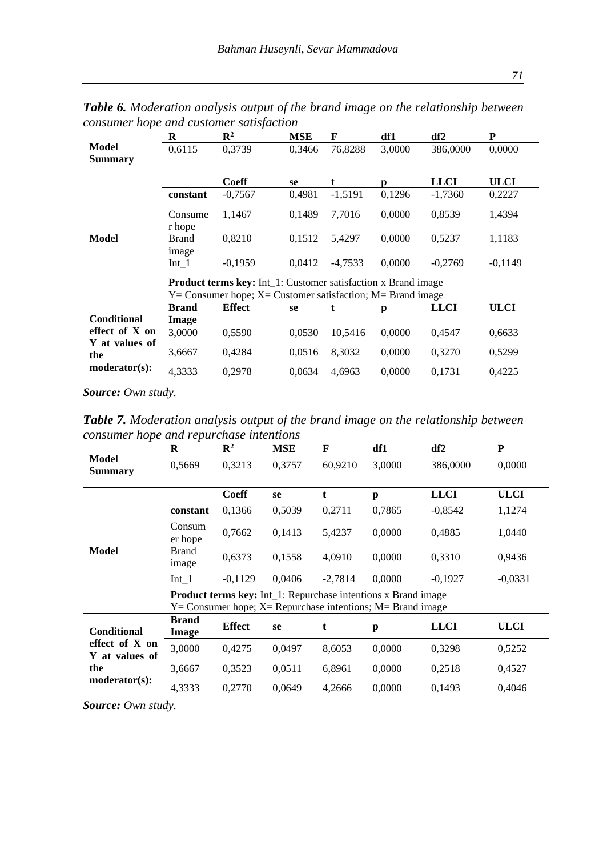|                         | R                 | $\mathbb{R}^2$                                                       | <b>MSE</b> | F         | df1    | df2         | P           |
|-------------------------|-------------------|----------------------------------------------------------------------|------------|-----------|--------|-------------|-------------|
| Model<br><b>Summary</b> | 0,6115            | 0,3739                                                               | 0,3466     | 76,8288   | 3,0000 | 386,0000    | 0,0000      |
|                         |                   | Coeff                                                                | se         | t         | n      | <b>LLCI</b> | <b>ULCI</b> |
|                         | constant          | $-0,7567$                                                            | 0,4981     | $-1,5191$ | 0,1296 | $-1,7360$   | 0,2227      |
|                         | Consume<br>r hope | 1.1467                                                               | 0.1489     | 7.7016    | 0.0000 | 0,8539      | 1,4394      |
| Model                   | Brand<br>image    | 0,8210                                                               | 0,1512     | 5,4297    | 0,0000 | 0,5237      | 1,1183      |
|                         | $Int_1$           | $-0,1959$                                                            | 0,0412     | $-4,7533$ | 0,0000 | $-0,2769$   | $-0,1149$   |
|                         |                   | <b>Product terms key:</b> Int_1: Customer satisfaction x Brand image |            |           |        |             |             |
|                         |                   | $Y =$ Consumer hope; $X =$ Customer satisfaction; $M =$ Brand image  |            |           |        |             |             |
|                         | <b>Brand</b>      | <b>Effect</b>                                                        | se         | t         | p      | <b>LLCI</b> | ULCI        |
| <b>Conditional</b>      | Image             |                                                                      |            |           |        |             |             |
| effect of X on          | 3,0000            | 0,5590                                                               | 0.0530     | 10,5416   | 0,0000 | 0,4547      | 0,6633      |
| Y at values of<br>the   | 3,6667            | 0,4284                                                               | 0.0516     | 8,3032    | 0,0000 | 0,3270      | 0,5299      |
| $modern(s)$ :           | 4.3333            | 0.2978                                                               | 0.0634     | 4.6963    | 0.0000 | 0.1731      | 0.4225      |

*Table 6. Moderation analysis output of the brand image on the relationship between consumer hope and customer satisfaction*

*Source: Own study.*

*Table 7. Moderation analysis output of the brand image on the relationship between consumer hope and repurchase intentions*

|                                  | R                                                                                                                                           | $\mathbb{R}^2$ | <b>MSE</b> | F           | df1    | df2         | P           |  |  |
|----------------------------------|---------------------------------------------------------------------------------------------------------------------------------------------|----------------|------------|-------------|--------|-------------|-------------|--|--|
| Model<br><b>Summary</b>          | 0,5669                                                                                                                                      | 0.3213         | 0,3757     | 60,9210     | 3,0000 | 386,0000    | 0,0000      |  |  |
|                                  |                                                                                                                                             | <b>Coeff</b>   | se         | $\mathbf t$ | n      | <b>LLCI</b> | <b>ULCI</b> |  |  |
|                                  | constant                                                                                                                                    | 0,1366         | 0,5039     | 0,2711      | 0,7865 | $-0.8542$   | 1,1274      |  |  |
| Model                            | Consum<br>er hope                                                                                                                           | 0,7662         | 0,1413     | 5,4237      | 0,0000 | 0,4885      | 1,0440      |  |  |
|                                  | <b>Brand</b><br>image                                                                                                                       | 0,6373         | 0,1558     | 4,0910      | 0.0000 | 0,3310      | 0,9436      |  |  |
|                                  | $Int_1$                                                                                                                                     | $-0,1129$      | 0,0406     | $-2,7814$   | 0.0000 | $-0,1927$   | $-0.0331$   |  |  |
|                                  | <b>Product terms key:</b> Int_1: Repurchase intentions x Brand image<br>$Y =$ Consumer hope; $X =$ Repurchase intentions; $M =$ Brand image |                |            |             |        |             |             |  |  |
| Conditional                      | <b>Brand</b><br>Image                                                                                                                       | <b>Effect</b>  | se         | t           | p      | <b>LLCI</b> | <b>ULCI</b> |  |  |
| effect of X on<br>Y at values of | 3,0000                                                                                                                                      | 0,4275         | 0.0497     | 8,6053      | 0,0000 | 0,3298      | 0,5252      |  |  |
| the                              | 3,6667                                                                                                                                      | 0,3523         | 0,0511     | 6,8961      | 0,0000 | 0,2518      | 0,4527      |  |  |
| $modern(s)$ :                    | 4,3333                                                                                                                                      | 0,2770         | 0.0649     | 4,2666      | 0.0000 | 0,1493      | 0.4046      |  |  |

*Source: Own study.*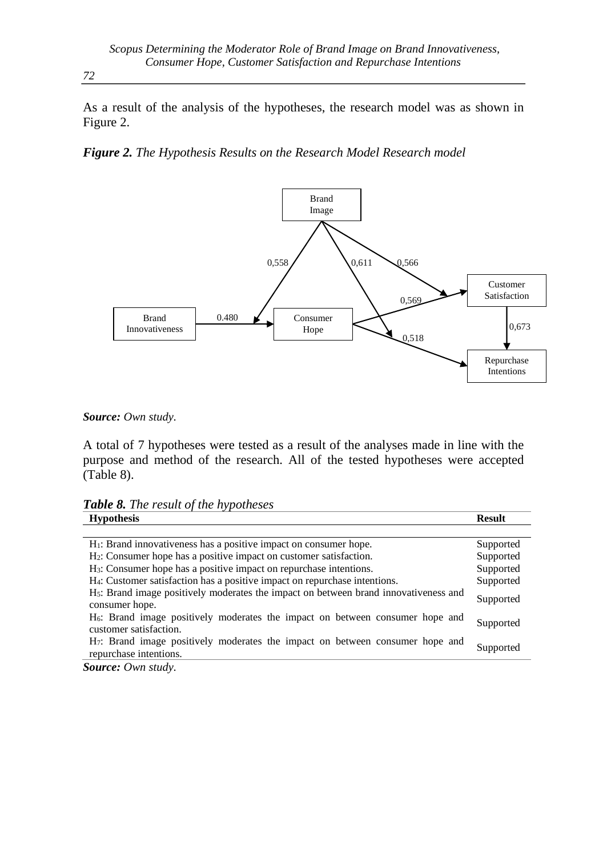As a result of the analysis of the hypotheses, the research model was as shown in Figure 2.

*Figure 2. The Hypothesis Results on the Research Model Research model*



*Source: Own study.*

A total of 7 hypotheses were tested as a result of the analyses made in line with the purpose and method of the research. All of the tested hypotheses were accepted (Table 8).

*Table 8. The result of the hypotheses*

| <b>Hypothesis</b>                                                                                                   | <b>Result</b> |
|---------------------------------------------------------------------------------------------------------------------|---------------|
|                                                                                                                     |               |
| $H_1$ : Brand innovativeness has a positive impact on consumer hope.                                                | Supported     |
| H <sub>2</sub> : Consumer hope has a positive impact on customer satisfaction.                                      | Supported     |
| H <sub>3</sub> : Consumer hope has a positive impact on repurchase intentions.                                      | Supported     |
| H <sub>4</sub> : Customer satisfaction has a positive impact on repurchase intentions.                              | Supported     |
| H <sub>5</sub> : Brand image positively moderates the impact on between brand innovativeness and<br>consumer hope.  | Supported     |
| H <sub>6</sub> : Brand image positively moderates the impact on between consumer hope and<br>customer satisfaction. | Supported     |
| H <sub>7</sub> : Brand image positively moderates the impact on between consumer hope and<br>repurchase intentions. | Supported     |
| <b>Source:</b> Own study.                                                                                           |               |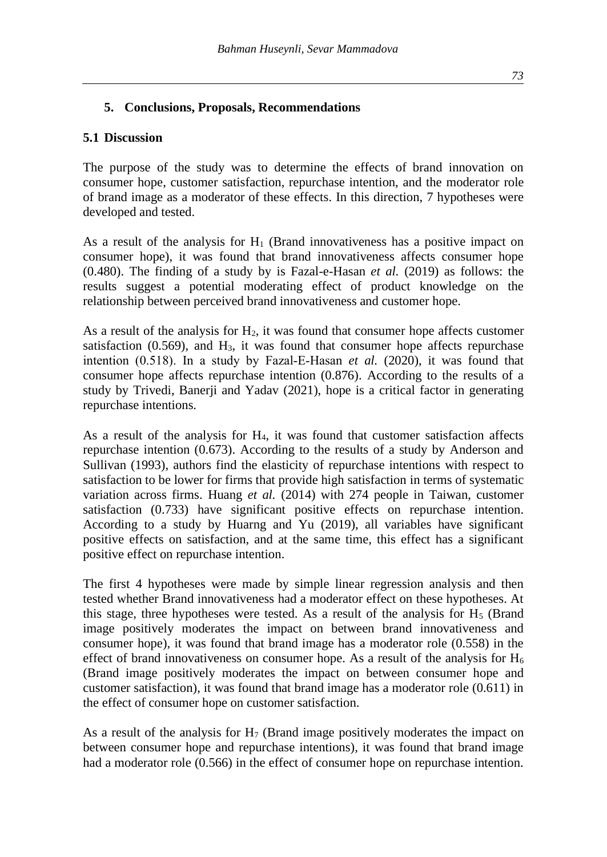#### **5. Conclusions, Proposals, Recommendations**

#### **5.1 Discussion**

The purpose of the study was to determine the effects of brand innovation on consumer hope, customer satisfaction, repurchase intention, and the moderator role of brand image as a moderator of these effects. In this direction, 7 hypotheses were developed and tested.

As a result of the analysis for  $H_1$  (Brand innovativeness has a positive impact on consumer hope), it was found that brand innovativeness affects consumer hope (0.480). The finding of a study by is Fazal-e-Hasan *et al.* (2019) as follows: the results suggest a potential moderating effect of product knowledge on the relationship between perceived brand innovativeness and customer hope.

As a result of the analysis for  $H_2$ , it was found that consumer hope affects customer satisfaction  $(0.569)$ , and  $H_3$ , it was found that consumer hope affects repurchase intention (0.518). In a study by Fazal-E-Hasan *et al.* (2020), it was found that consumer hope affects repurchase intention (0.876). According to the results of a study by Trivedi, Banerji and Yadav (2021), hope is a critical factor in generating repurchase intentions.

As a result of the analysis for  $H_4$ , it was found that customer satisfaction affects repurchase intention (0.673). According to the results of a study by Anderson and Sullivan (1993), authors find the elasticity of repurchase intentions with respect to satisfaction to be lower for firms that provide high satisfaction in terms of systematic variation across firms. Huang *et al.* (2014) with 274 people in Taiwan, customer satisfaction (0.733) have significant positive effects on repurchase intention. According to a study by Huarng and Yu (2019), all variables have significant positive effects on satisfaction, and at the same time, this effect has a significant positive effect on repurchase intention.

The first 4 hypotheses were made by simple linear regression analysis and then tested whether Brand innovativeness had a moderator effect on these hypotheses. At this stage, three hypotheses were tested. As a result of the analysis for  $H<sub>5</sub>$  (Brand image positively moderates the impact on between brand innovativeness and consumer hope), it was found that brand image has a moderator role (0.558) in the effect of brand innovativeness on consumer hope. As a result of the analysis for  $H_6$ (Brand image positively moderates the impact on between consumer hope and customer satisfaction), it was found that brand image has a moderator role (0.611) in the effect of consumer hope on customer satisfaction.

As a result of the analysis for  $H_7$  (Brand image positively moderates the impact on between consumer hope and repurchase intentions), it was found that brand image had a moderator role (0.566) in the effect of consumer hope on repurchase intention.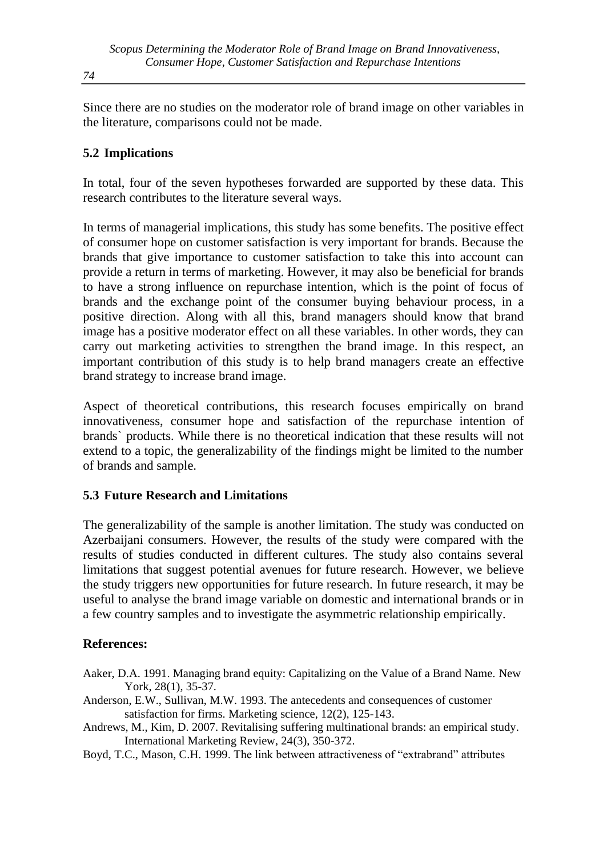Since there are no studies on the moderator role of brand image on other variables in the literature, comparisons could not be made.

# **5.2 Implications**

In total, four of the seven hypotheses forwarded are supported by these data. This research contributes to the literature several ways.

In terms of managerial implications, this study has some benefits. The positive effect of consumer hope on customer satisfaction is very important for brands. Because the brands that give importance to customer satisfaction to take this into account can provide a return in terms of marketing. However, it may also be beneficial for brands to have a strong influence on repurchase intention, which is the point of focus of brands and the exchange point of the consumer buying behaviour process, in a positive direction. Along with all this, brand managers should know that brand image has a positive moderator effect on all these variables. In other words, they can carry out marketing activities to strengthen the brand image. In this respect, an important contribution of this study is to help brand managers create an effective brand strategy to increase brand image.

Aspect of theoretical contributions, this research focuses empirically on brand innovativeness, consumer hope and satisfaction of the repurchase intention of brands` products. While there is no theoretical indication that these results will not extend to a topic, the generalizability of the findings might be limited to the number of brands and sample.

# **5.3 Future Research and Limitations**

The generalizability of the sample is another limitation. The study was conducted on Azerbaijani consumers. However, the results of the study were compared with the results of studies conducted in different cultures. The study also contains several limitations that suggest potential avenues for future research. However, we believe the study triggers new opportunities for future research. In future research, it may be useful to analyse the brand image variable on domestic and international brands or in a few country samples and to investigate the asymmetric relationship empirically.

#### **References:**

- Aaker, D.A. 1991. Managing brand equity: Capitalizing on the Value of a Brand Name. New York, 28(1), 35-37.
- Anderson, E.W., Sullivan, M.W. 1993. The antecedents and consequences of customer satisfaction for firms. Marketing science, 12(2), 125-143.
- Andrews, M., Kim, D. 2007. Revitalising suffering multinational brands: an empirical study. International Marketing Review, 24(3), 350-372.
- Boyd, T.C., Mason, C.H. 1999. The link between attractiveness of "extrabrand" attributes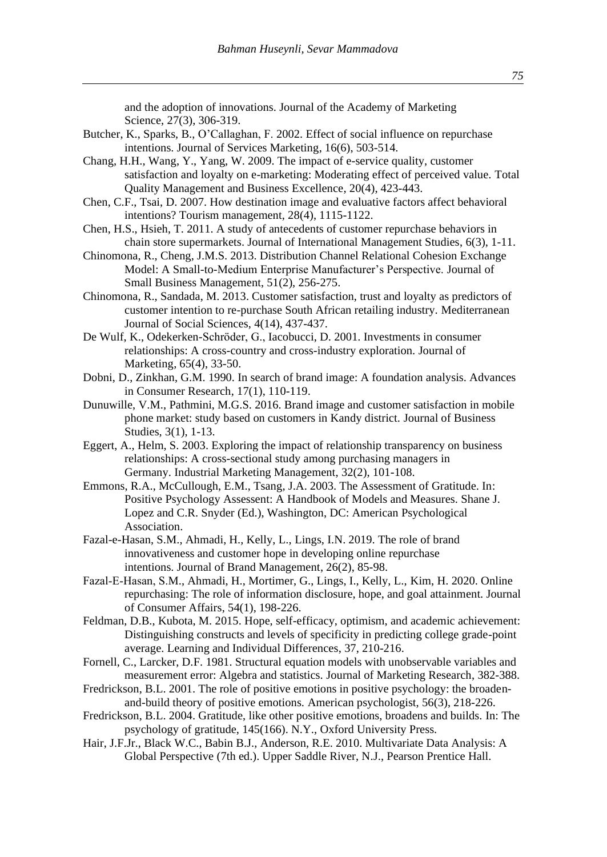and the adoption of innovations. Journal of the Academy of Marketing Science, 27(3), 306-319.

- Butcher, K., Sparks, B., O'Callaghan, F. 2002. Effect of social influence on repurchase intentions. Journal of Services Marketing, 16(6), 503-514.
- Chang, H.H., Wang, Y., Yang, W. 2009. The impact of e-service quality, customer satisfaction and loyalty on e-marketing: Moderating effect of perceived value. Total Quality Management and Business Excellence, 20(4), 423-443.
- Chen, C.F., Tsai, D. 2007. How destination image and evaluative factors affect behavioral intentions? Tourism management, 28(4), 1115-1122.
- Chen, H.S., Hsieh, T. 2011. A study of antecedents of customer repurchase behaviors in chain store supermarkets. Journal of International Management Studies, 6(3), 1-11.
- Chinomona, R., Cheng, J.M.S. 2013. Distribution Channel Relational Cohesion Exchange Model: A Small-to-Medium Enterprise Manufacturer's Perspective. Journal of Small Business Management, 51(2), 256-275.
- Chinomona, R., Sandada, M. 2013. Customer satisfaction, trust and loyalty as predictors of customer intention to re-purchase South African retailing industry. Mediterranean Journal of Social Sciences, 4(14), 437-437.
- De Wulf, K., Odekerken-Schröder, G., Iacobucci, D. 2001. Investments in consumer relationships: A cross-country and cross-industry exploration. Journal of Marketing, 65(4), 33-50.
- Dobni, D., Zinkhan, G.M. 1990. In search of brand image: A foundation analysis. Advances in Consumer Research, 17(1), 110-119.
- Dunuwille, V.M., Pathmini, M.G.S. 2016. Brand image and customer satisfaction in mobile phone market: study based on customers in Kandy district. Journal of Business Studies, 3(1), 1-13.
- Eggert, A., Helm, S. 2003. Exploring the impact of relationship transparency on business relationships: A cross-sectional study among purchasing managers in Germany. Industrial Marketing Management, 32(2), 101-108.
- Emmons, R.A., McCullough, E.M., Tsang, J.A. 2003. The Assessment of Gratitude. In: Positive Psychology Assessent: A Handbook of Models and Measures. Shane J. Lopez and C.R. Snyder (Ed.), Washington, DC: American Psychological Association.
- Fazal-e-Hasan, S.M., Ahmadi, H., Kelly, L., Lings, I.N. 2019. The role of brand innovativeness and customer hope in developing online repurchase intentions. Journal of Brand Management, 26(2), 85-98.
- Fazal‐E‐Hasan, S.M., Ahmadi, H., Mortimer, G., Lings, I., Kelly, L., Kim, H. 2020. Online repurchasing: The role of information disclosure, hope, and goal attainment. Journal of Consumer Affairs, 54(1), 198-226.
- Feldman, D.B., Kubota, M. 2015. Hope, self-efficacy, optimism, and academic achievement: Distinguishing constructs and levels of specificity in predicting college grade-point average. Learning and Individual Differences, 37, 210-216.
- Fornell, C., Larcker, D.F. 1981. Structural equation models with unobservable variables and measurement error: Algebra and statistics. Journal of Marketing Research, 382-388.
- Fredrickson, B.L. 2001. The role of positive emotions in positive psychology: the broadenand-build theory of positive emotions. American psychologist, 56(3), 218-226.
- Fredrickson, B.L. 2004. Gratitude, like other positive emotions, broadens and builds. In: The psychology of gratitude, 145(166). N.Y., Oxford University Press.
- Hair, J.F.Jr., Black W.C., Babin B.J., Anderson, R.E. 2010. Multivariate Data Analysis: A Global Perspective (7th ed.). Upper Saddle River, N.J., Pearson Prentice Hall.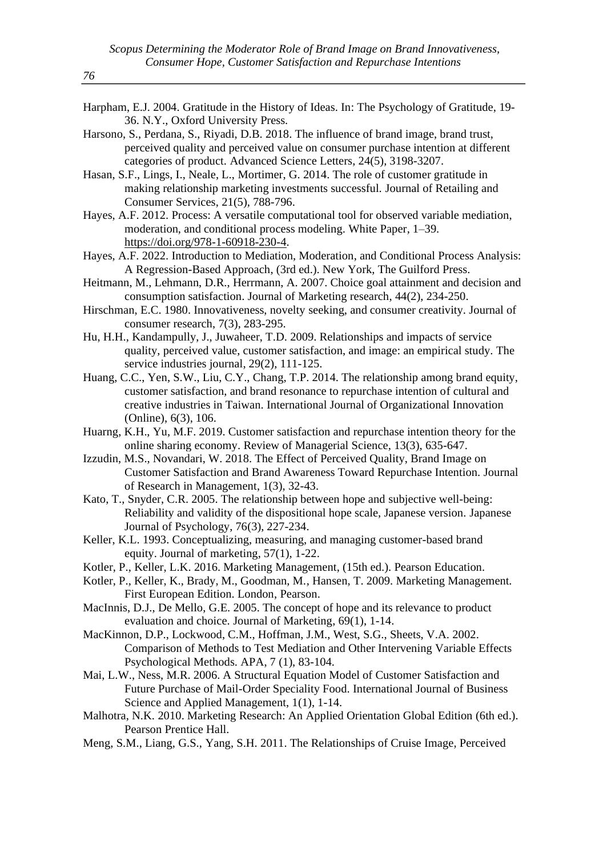- Harpham, E.J. 2004. Gratitude in the History of Ideas. In: The Psychology of Gratitude, 19- 36. N.Y., Oxford University Press.
- Harsono, S., Perdana, S., Riyadi, D.B. 2018. The influence of brand image, brand trust, perceived quality and perceived value on consumer purchase intention at different categories of product. Advanced Science Letters, 24(5), 3198-3207.
- Hasan, S.F., Lings, I., Neale, L., Mortimer, G. 2014. The role of customer gratitude in making relationship marketing investments successful. Journal of Retailing and Consumer Services, 21(5), 788-796.
- Hayes, A.F. 2012. Process: A versatile computational tool for observed variable mediation, moderation, and conditional process modeling. White Paper, 1–39. [https://doi.org/978-1-60918-230-4.](https://doi.org/978-1-60918-230-4)
- Hayes, A.F. 2022. Introduction to Mediation, Moderation, and Conditional Process Analysis: A Regression-Based Approach, (3rd ed.). New York, The Guilford Press.
- Heitmann, M., Lehmann, D.R., Herrmann, A. 2007. Choice goal attainment and decision and consumption satisfaction. Journal of Marketing research, 44(2), 234-250.
- Hirschman, E.C. 1980. Innovativeness, novelty seeking, and consumer creativity. Journal of consumer research, 7(3), 283-295.
- Hu, H.H., Kandampully, J., Juwaheer, T.D. 2009. Relationships and impacts of service quality, perceived value, customer satisfaction, and image: an empirical study. The service industries journal, 29(2), 111-125.
- Huang, C.C., Yen, S.W., Liu, C.Y., Chang, T.P. 2014. The relationship among brand equity, customer satisfaction, and brand resonance to repurchase intention of cultural and creative industries in Taiwan. International Journal of Organizational Innovation (Online), 6(3), 106.
- Huarng, K.H., Yu, M.F. 2019. Customer satisfaction and repurchase intention theory for the online sharing economy. Review of Managerial Science, 13(3), 635-647.
- Izzudin, M.S., Novandari, W. 2018. The Effect of Perceived Quality, Brand Image on Customer Satisfaction and Brand Awareness Toward Repurchase Intention. Journal of Research in Management, 1(3), 32-43.
- Kato, T., Snyder, C.R. 2005. The relationship between hope and subjective well-being: Reliability and validity of the dispositional hope scale, Japanese version. Japanese Journal of Psychology, 76(3), 227-234.
- Keller, K.L. 1993. Conceptualizing, measuring, and managing customer-based brand equity. Journal of marketing, 57(1), 1-22.
- Kotler, P., Keller, L.K. 2016. Marketing Management, (15th ed.). Pearson Education.
- Kotler, P., Keller, K., Brady, M., Goodman, M., Hansen, T. 2009. Marketing Management. First European Edition. London, Pearson.
- MacInnis, D.J., De Mello, G.E. 2005. The concept of hope and its relevance to product evaluation and choice. Journal of Marketing, 69(1), 1-14.
- MacKinnon, D.P., Lockwood, C.M., Hoffman, J.M., West, S.G., Sheets, V.A. 2002. Comparison of Methods to Test Mediation and Other Intervening Variable Effects Psychological Methods. APA, 7 (1), 83-104.
- Mai, L.W., Ness, M.R. 2006. A Structural Equation Model of Customer Satisfaction and Future Purchase of Mail-Order Speciality Food. International Journal of Business Science and Applied Management, 1(1), 1-14.
- Malhotra, N.K. 2010. Marketing Research: An Applied Orientation Global Edition (6th ed.). Pearson Prentice Hall.
- Meng, S.M., Liang, G.S., Yang, S.H. 2011. The Relationships of Cruise Image, Perceived